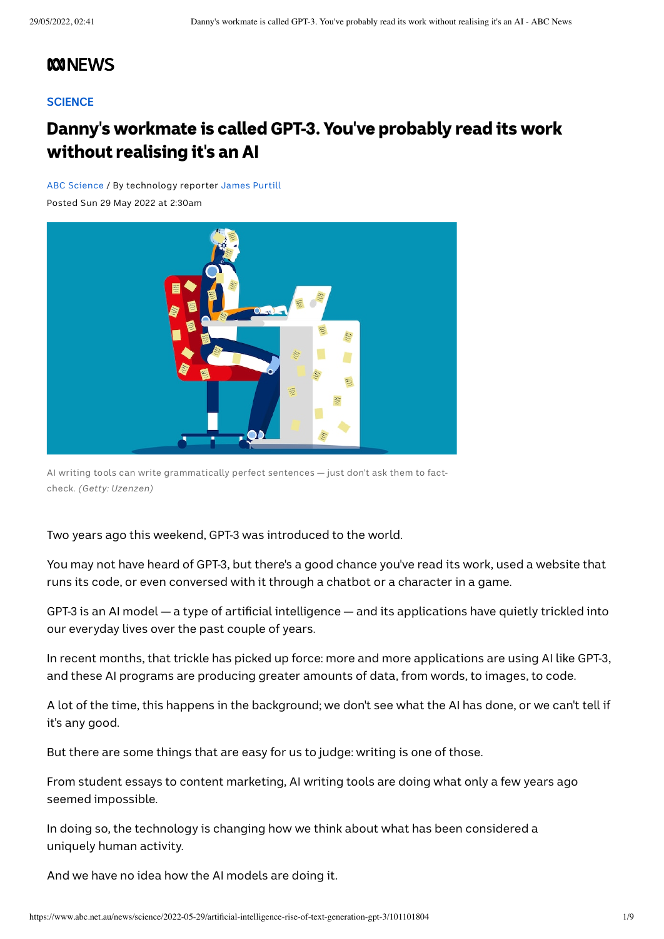## **MONEWS**

#### **[SCIENCE](https://www.abc.net.au/news/science/)**

# Danny's workmate is called GPT-3. You've probably read its work without realising it's an AI

ABC [Science](https://www.abc.net.au/news/science/) / By technology reporter [James](https://www.abc.net.au/news/james-purtill/5736550) Purtill

Posted Sun 29 May 2022 at 2:30am



AI writing tools can write grammatically perfect sentences — just don't ask them to factcheck. *(Getty: Uzenzen)*

#### Two years ago this weekend, GPT-3 was introduced to the world.

You may not have heard of GPT-3, but there's a good chance you've read its work, used a website that runs its code, or even conversed with it through a chatbot or a character in a game.

GPT-3 is an AI model — a type of artificial intelligence — and its applications have quietly trickled into our everyday lives over the past couple of years.

In recent months, that trickle has picked up force: more and more applications are using AI like GPT-3, and these AI programs are producing greater amounts of data, from words, to images, to code.

A lot of the time, this happens in the background; we don't see what the AI has done, or we can't tell if it's any good.

But there are some things that are easy for us to judge: writing is one of those.

From student essays to content marketing, AI writing tools are doing what only a few years ago seemed impossible.

In doing so, the technology is changing how we think about what has been considered a uniquely human activity.

And we have no idea how the AI models are doing it.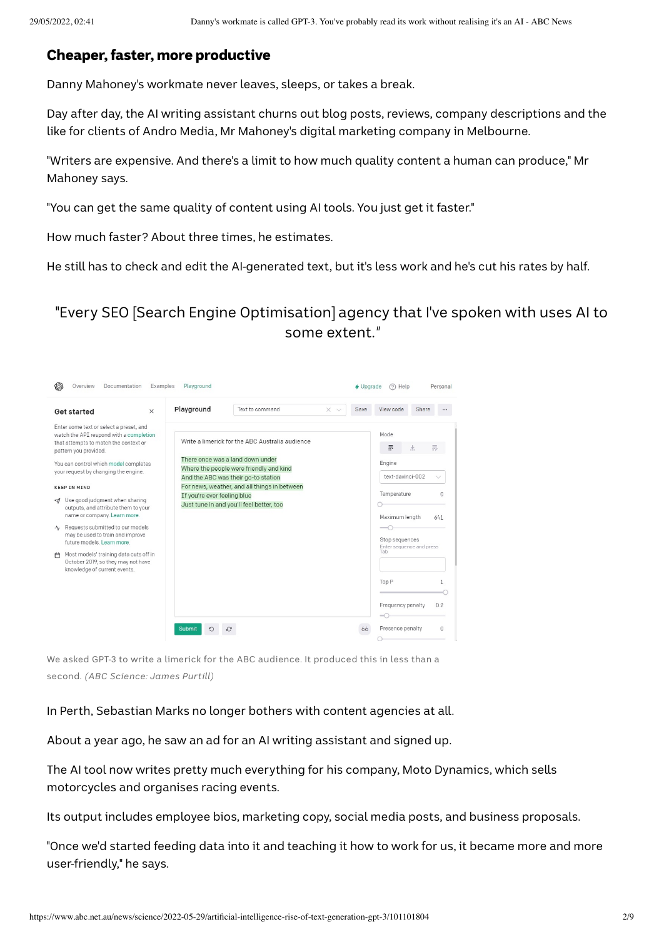### Cheaper, faster, more productive

Danny Mahoney's workmate never leaves, sleeps, or takes a break.

Day after day, the AI writing assistant churns out blog posts, reviews, company descriptions and the like for clients of Andro Media, Mr Mahoney's digital marketing company in Melbourne.

"Writers are expensive. And there's a limit to how much quality content a human can produce," Mr Mahoney says.

"You can get the same quality of content using AI tools. You just get it faster."

How much faster? About three times, he estimates.

He still has to check and edit the AI-generated text, but it's less work and he's cut his rates by half.

"Every SEO [Search Engine Optimisation] agency that I've spoken with uses AI to some extent.*"*



We asked GPT-3 to write a limerick for the ABC audience. It produced this in less than a second. *(ABC Science: James Purtill)*

In Perth, Sebastian Marks no longer bothers with content agencies at all.

About a year ago, he saw an ad for an AI writing assistant and signed up.

The AI tool now writes pretty much everything for his company, Moto Dynamics, which sells motorcycles and organises racing events.

Its output includes employee bios, marketing copy, social media posts, and business proposals.

"Once we'd started feeding data into it and teaching it how to work for us, it became more and more user-friendly," he says.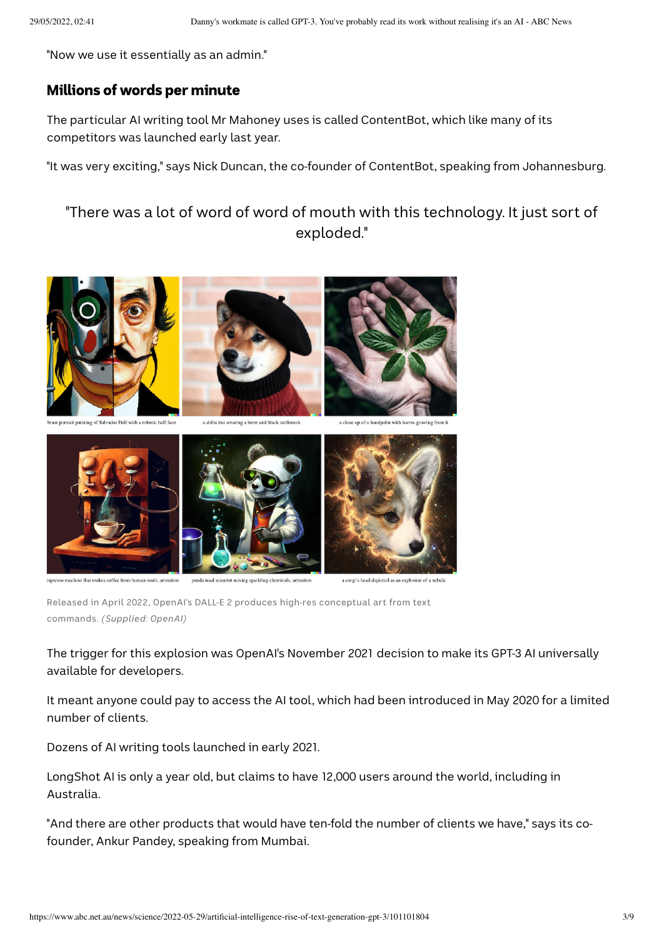"Now we use it essentially as an admin."

#### Millions of words per minute

The particular AI writing tool Mr Mahoney uses is called ContentBot, which like many of its competitors was launched early last year.

"It was very exciting," says Nick Duncan, the co-founder of ContentBot, speaking from Johannesburg.

"There was a lot of word of word of mouth with this technology. It just sort of exploded."





nachine that makes coffee from human souls, artstation

panda mad scientist mixing sparkling

a corgi's head depicted as an explosion of a nebula

Released in April 2022, OpenAI's DALL-E 2 produces high-res conceptual art from text commands. *(Supplied: OpenAI)*

The trigger for this explosion was OpenAI's November 2021 decision to make its GPT-3 AI universally available for developers.

It meant anyone could pay to access the AI tool, which had been introduced in May 2020 for a limited number of clients.

Dozens of AI writing tools launched in early 2021.

LongShot AI is only a year old, but claims to have 12,000 users around the world, including in Australia.

"And there are other products that would have ten-fold the number of clients we have," says its cofounder, Ankur Pandey, speaking from Mumbai.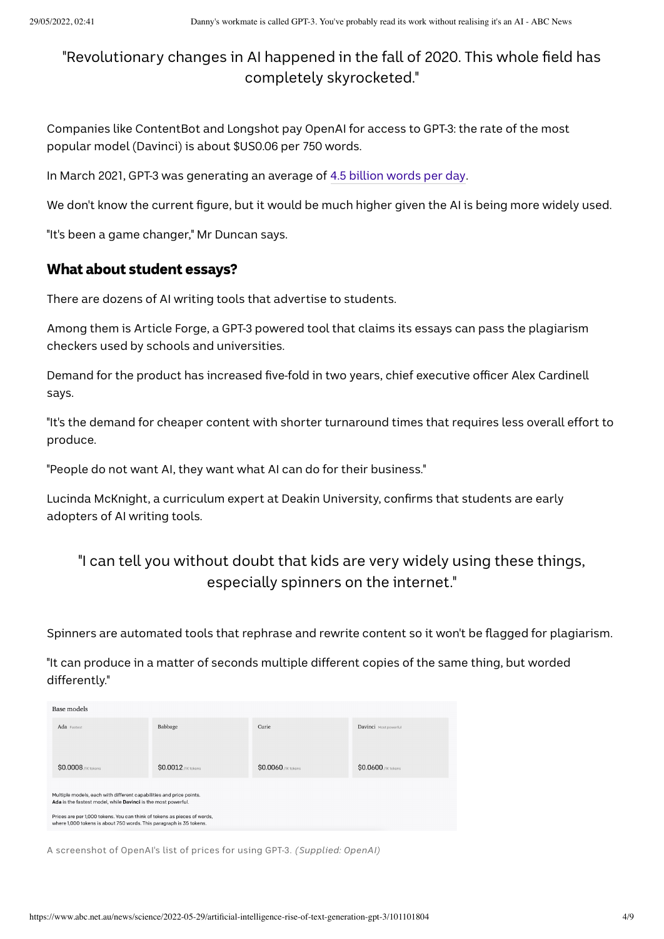## "Revolutionary changes in AI happened in the fall of 2020. This whole field has completely skyrocketed."

Companies like ContentBot and Longshot pay OpenAI for access to GPT-3: the rate of the most popular model (Davinci) is about \$US0.06 per 750 words.

In March 2021, GPT-3 was generating an average of 4.5 [billion](https://openai.com/blog/gpt-3-apps/) words per day.

We don't know the current figure, but it would be much higher given the AI is being more widely used.

"It's been a game changer," Mr Duncan says.

### What about student essays?

There are dozens of AI writing tools that advertise to students.

Among them is Article Forge, a GPT-3 powered tool that claims its essays can pass the plagiarism checkers used by schools and universities.

Demand for the product has increased five-fold in two years, chief executive officer Alex Cardinell says.

"It's the demand for cheaper content with shorter turnaround times that requires less overall effort to produce.

"People do not want AI, they want what AI can do for their business."

Lucinda McKnight, a curriculum expert at Deakin University, confirms that students are early adopters of AI writing tools.

## "I can tell you without doubt that kids are very widely using these things, especially spinners on the internet."

Spinners are automated tools that rephrase and rewrite content so it won't be flagged for plagiarism.

"It can produce in a matter of seconds multiple different copies of the same thing, but worded differently."

| Base models                                                                                                                                     |                             |                     |                            |
|-------------------------------------------------------------------------------------------------------------------------------------------------|-----------------------------|---------------------|----------------------------|
| Ada Fastest                                                                                                                                     | Babbage                     | Curie               | Davinci Most powerful      |
|                                                                                                                                                 |                             |                     |                            |
|                                                                                                                                                 |                             |                     |                            |
| <b>\$0.0008</b> /1K tokens                                                                                                                      | <b>\$0.0012</b> / IK tokens | \$0.0060 /1K tokens | <b>\$0.0600</b> /1K tokens |
|                                                                                                                                                 |                             |                     |                            |
| Multiple models, each with different capabilities and price points.<br>Ada is the fastest model, while Davinci is the most powerful.            |                             |                     |                            |
| Prices are per 1,000 tokens. You can think of tokens as pieces of words,<br>where 1,000 tokens is about 750 words. This paragraph is 35 tokens. |                             |                     |                            |
|                                                                                                                                                 |                             |                     |                            |

A screenshot of OpenAI's list of prices for using GPT-3. *(Supplied: OpenAI)*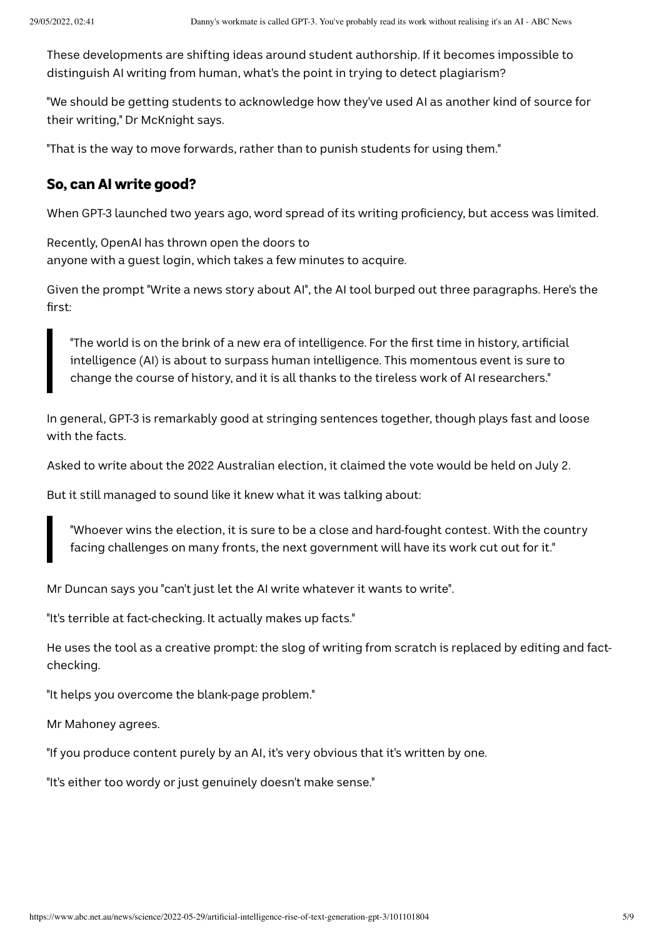These developments are shifting ideas around student authorship. If it becomes impossible to distinguish AI writing from human, what's the point in trying to detect plagiarism?

"We should be getting students to acknowledge how they've used AI as another kind of source for their writing," Dr McKnight says.

"That is the way to move forwards, rather than to punish students for using them."

### So, can AI write good?

When GPT-3 launched two years ago, word spread of its writing proficiency, but access was limited.

Recently, OpenAI has thrown open the doors to anyone with a guest login, which takes a few minutes to acquire.

Given the prompt "Write a news story about AI", the AI tool burped out three paragraphs. Here's the first:

"The world is on the brink of a new era of intelligence. For the first time in history, artificial intelligence (AI) is about to surpass human intelligence. This momentous event is sure to change the course of history, and it is all thanks to the tireless work of AI researchers."

In general, GPT-3 is remarkably good at stringing sentences together, though plays fast and loose with the facts.

Asked to write about the 2022 Australian election, it claimed the vote would be held on July 2.

But it still managed to sound like it knew what it was talking about:

"Whoever wins the election, it is sure to be a close and hard-fought contest. With the country facing challenges on many fronts, the next government will have its work cut out for it."

Mr Duncan says you "can't just let the AI write whatever it wants to write".

"It's terrible at fact-checking. It actually makes up facts."

He uses the tool as a creative prompt: the slog of writing from scratch is replaced by editing and factchecking.

"It helps you overcome the blank-page problem."

Mr Mahoney agrees.

"If you produce content purely by an AI, it's very obvious that it's written by one.

"It's either too wordy or just genuinely doesn't make sense."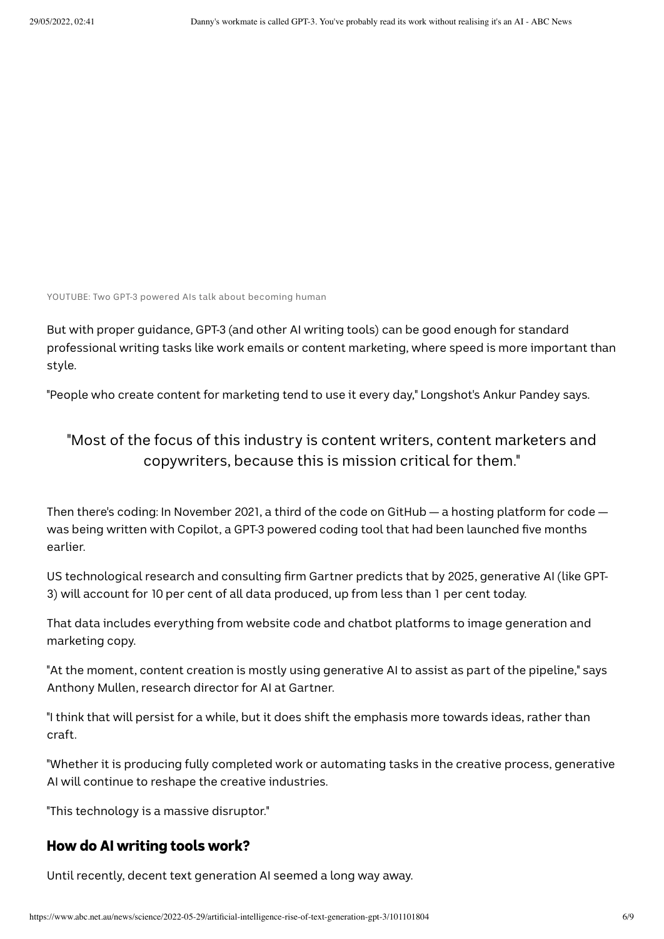YOUTUBE: Two GPT-3 powered AIs talk about becoming human

But with proper guidance, GPT-3 (and other AI writing tools) can be good enough for standard professional writing tasks like work emails or content marketing, where speed is more important than style.

"People who create content for marketing tend to use it every day," Longshot's Ankur Pandey says.

## "Most of the focus of this industry is content writers, content marketers and copywriters, because this is mission critical for them."

Then there's coding: In November 2021, a third of the code on GitHub — a hosting platform for code was being written with Copilot, a GPT-3 powered coding tool that had been launched five months earlier.

US technological research and consulting firm Gartner predicts that by 2025, generative AI (like GPT-3) will account for 10 per cent of all data produced, up from less than 1 per cent today.

That data includes everything from website code and chatbot platforms to image generation and marketing copy.

"At the moment, content creation is mostly using generative AI to assist as part of the pipeline," says Anthony Mullen, research director for AI at Gartner.

"I think that will persist for a while, but it does shift the emphasis more towards ideas, rather than craft.

"Whether it is producing fully completed work or automating tasks in the creative process, generative AI will continue to reshape the creative industries.

"This technology is a massive disruptor."

### How do AI writing tools work?

Until recently, decent text generation AI seemed a long way away.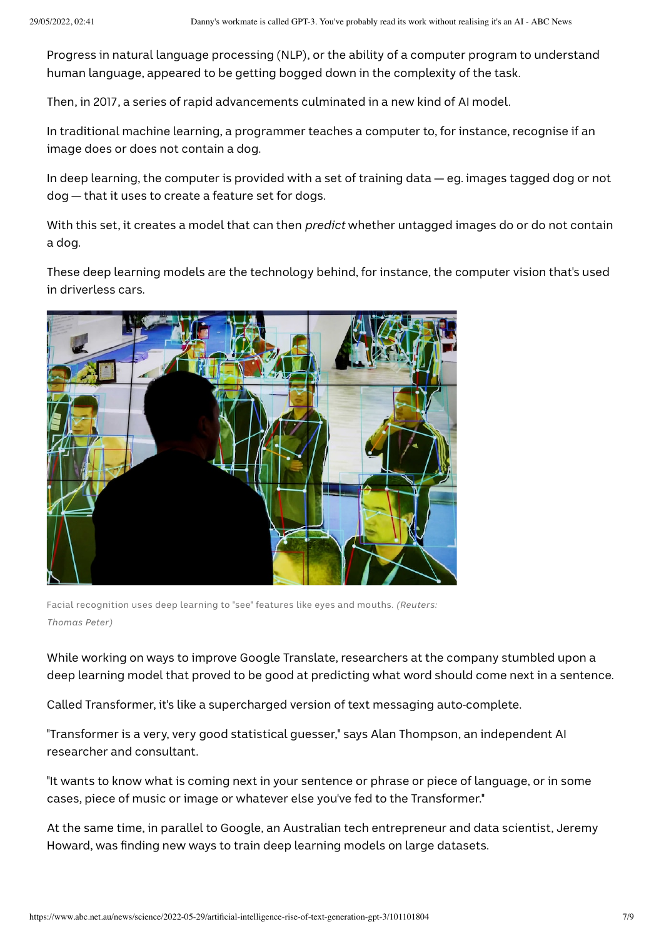Progress in natural language processing (NLP), or the ability of a computer program to understand human language, appeared to be getting bogged down in the complexity of the task.

Then, in 2017, a series of rapid advancements culminated in a new kind of AI model.

In traditional machine learning, a programmer teaches a computer to, for instance, recognise if an image does or does not contain a dog.

In deep learning, the computer is provided with a set of training data — eg. images tagged dog or not dog — that it uses to create a feature set for dogs.

With this set, it creates a model that can then *predict* whether untagged images do or do not contain a dog.

These deep learning models are the technology behind, for instance, the computer vision that's used in driverless cars.



Facial recognition uses deep learning to "see" features like eyes and mouths. *(Reuters: Thomas Peter)*

While working on ways to improve Google Translate, researchers at the company stumbled upon a deep learning model that proved to be good at predicting what word should come next in a sentence.

Called Transformer, it's like a supercharged version of text messaging auto-complete.

"Transformer is a very, very good statistical guesser," says Alan Thompson, an independent AI researcher and consultant.

"It wants to know what is coming next in your sentence or phrase or piece of language, or in some cases, piece of music or image or whatever else you've fed to the Transformer."

At the same time, in parallel to Google, an Australian tech entrepreneur and data scientist, Jeremy Howard, was finding new ways to train deep learning models on large datasets.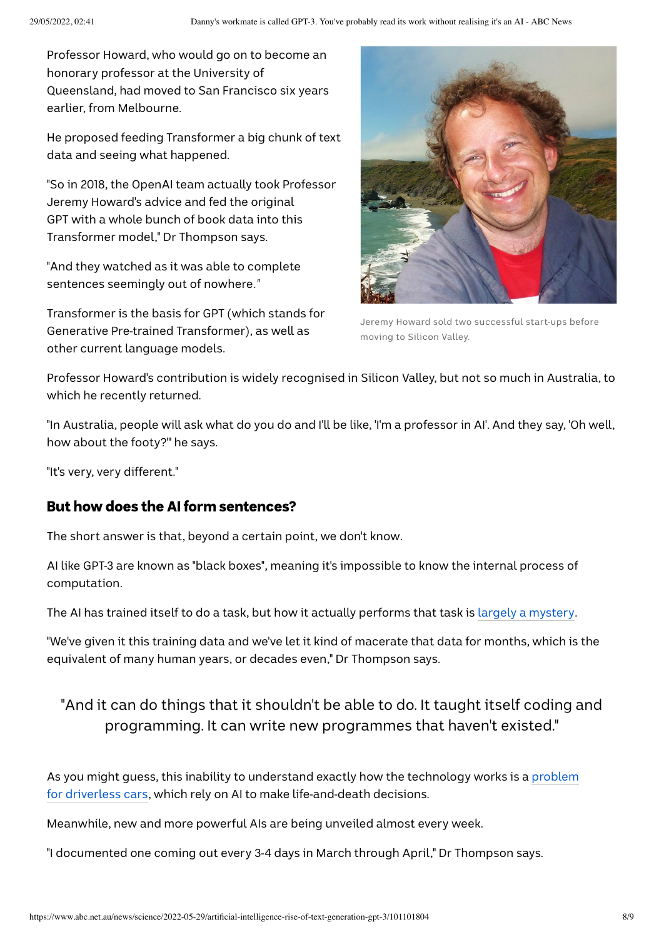Professor Howard, who would go on to become an honorary professor at the University of Queensland, had moved to San Francisco six years earlier, from Melbourne.

He proposed feeding Transformer a big chunk of text data and seeing what happened.

"So in 2018, the OpenAI team actually took Professor Jeremy Howard's advice and fed the original GPT with a whole bunch of book data into this Transformer model," Dr Thompson says.

"And they watched as it was able to complete sentences seemingly out of nowhere*."*

Transformer is the basis for GPT (which stands for Generative Pre-trained Transformer), as well as other current language models.



Jeremy Howard sold two successful start-ups before moving to Silicon Valley.

Professor Howard's contribution is widely recognised in Silicon Valley, but not so much in Australia, to which he recently returned.

"In Australia, people will ask what do you do and I'll be like, 'I'm a professor in AI'. And they say, 'Oh well, how about the footy?'" he says.

"It's very, very different."

### But how does the AI form sentences?

The short answer is that, beyond a certain point, we don't know.

AI like GPT-3 are known as "black boxes", meaning it's impossible to know the internal process of computation.

The AI has trained itself to do a task, but how it actually performs that task is largely a [mystery](https://www.nature.com/articles/d41586-022-00858-1).

"We've given it this training data and we've let it kind of macerate that data for months, which is the equivalent of many human years, or decades even," Dr Thompson says.

## "And it can do things that it shouldn't be able to do. It taught itself coding and programming. It can write new programmes that haven't existed."

As you might guess, this inability to understand exactly how the technology works is a problem for driverless cars, which rely on AI to make [life-and-death](https://theconversation.com/when-self-driving-cars-crash-whos-responsible-courts-and-insurers-need-to-know-whats-inside-the-black-box-180334) decisions.

Meanwhile, new and more powerful AIs are being unveiled almost every week.

"I documented one coming out every 3-4 days in March through April," Dr Thompson says.